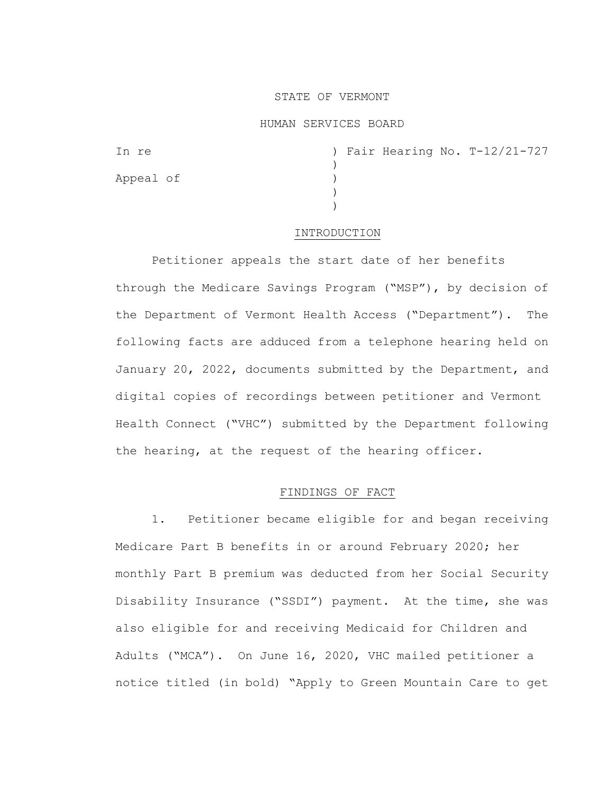# STATE OF VERMONT

### HUMAN SERVICES BOARD

| In re     | ) Fair Hearing No. T-12/21-727 |
|-----------|--------------------------------|
|           |                                |
| Appeal of |                                |
|           |                                |
|           |                                |

### INTRODUCTION

Petitioner appeals the start date of her benefits through the Medicare Savings Program ("MSP"), by decision of the Department of Vermont Health Access ("Department"). The following facts are adduced from a telephone hearing held on January 20, 2022, documents submitted by the Department, and digital copies of recordings between petitioner and Vermont Health Connect ("VHC") submitted by the Department following the hearing, at the request of the hearing officer.

# FINDINGS OF FACT

1. Petitioner became eligible for and began receiving Medicare Part B benefits in or around February 2020; her monthly Part B premium was deducted from her Social Security Disability Insurance ("SSDI") payment. At the time, she was also eligible for and receiving Medicaid for Children and Adults ("MCA"). On June 16, 2020, VHC mailed petitioner a notice titled (in bold) "Apply to Green Mountain Care to get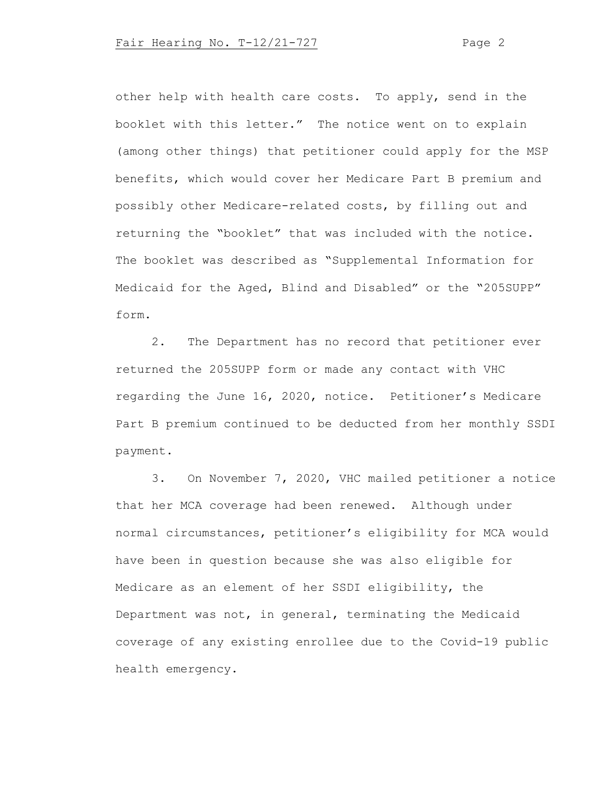other help with health care costs. To apply, send in the booklet with this letter." The notice went on to explain (among other things) that petitioner could apply for the MSP benefits, which would cover her Medicare Part B premium and possibly other Medicare-related costs, by filling out and returning the "booklet" that was included with the notice. The booklet was described as "Supplemental Information for Medicaid for the Aged, Blind and Disabled" or the "205SUPP" form.

2. The Department has no record that petitioner ever returned the 205SUPP form or made any contact with VHC regarding the June 16, 2020, notice. Petitioner's Medicare Part B premium continued to be deducted from her monthly SSDI payment.

3. On November 7, 2020, VHC mailed petitioner a notice that her MCA coverage had been renewed. Although under normal circumstances, petitioner's eligibility for MCA would have been in question because she was also eligible for Medicare as an element of her SSDI eligibility, the Department was not, in general, terminating the Medicaid coverage of any existing enrollee due to the Covid-19 public health emergency.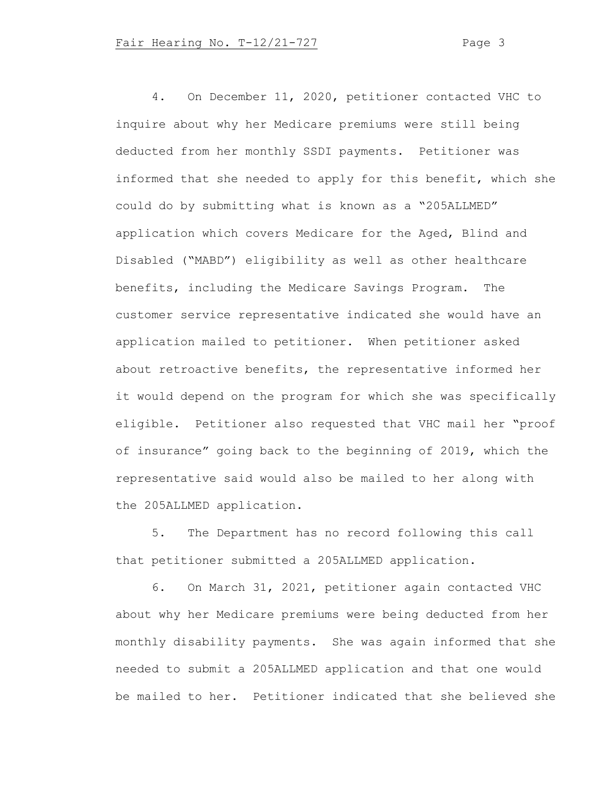4. On December 11, 2020, petitioner contacted VHC to inquire about why her Medicare premiums were still being deducted from her monthly SSDI payments. Petitioner was informed that she needed to apply for this benefit, which she could do by submitting what is known as a "205ALLMED" application which covers Medicare for the Aged, Blind and Disabled ("MABD") eligibility as well as other healthcare benefits, including the Medicare Savings Program. The customer service representative indicated she would have an application mailed to petitioner. When petitioner asked about retroactive benefits, the representative informed her it would depend on the program for which she was specifically eligible. Petitioner also requested that VHC mail her "proof of insurance" going back to the beginning of 2019, which the representative said would also be mailed to her along with the 205ALLMED application.

5. The Department has no record following this call that petitioner submitted a 205ALLMED application.

6. On March 31, 2021, petitioner again contacted VHC about why her Medicare premiums were being deducted from her monthly disability payments. She was again informed that she needed to submit a 205ALLMED application and that one would be mailed to her. Petitioner indicated that she believed she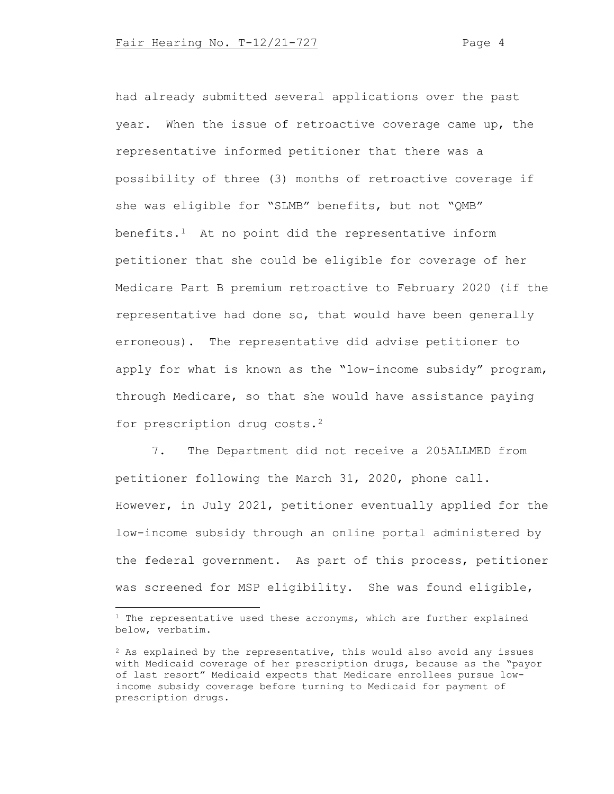had already submitted several applications over the past year. When the issue of retroactive coverage came up, the representative informed petitioner that there was a possibility of three (3) months of retroactive coverage if she was eligible for "SLMB" benefits, but not "QMB" benefits. $1$  At no point did the representative inform petitioner that she could be eligible for coverage of her Medicare Part B premium retroactive to February 2020 (if the representative had done so, that would have been generally erroneous). The representative did advise petitioner to apply for what is known as the "low-income subsidy" program, through Medicare, so that she would have assistance paying for prescription drug costs.[2](#page-3-1)

7. The Department did not receive a 205ALLMED from petitioner following the March 31, 2020, phone call. However, in July 2021, petitioner eventually applied for the low-income subsidy through an online portal administered by the federal government. As part of this process, petitioner was screened for MSP eligibility. She was found eligible,

<span id="page-3-0"></span> $1$  The representative used these acronyms, which are further explained below, verbatim.

<span id="page-3-1"></span> $2$  As explained by the representative, this would also avoid any issues with Medicaid coverage of her prescription drugs, because as the "payor of last resort" Medicaid expects that Medicare enrollees pursue lowincome subsidy coverage before turning to Medicaid for payment of prescription drugs.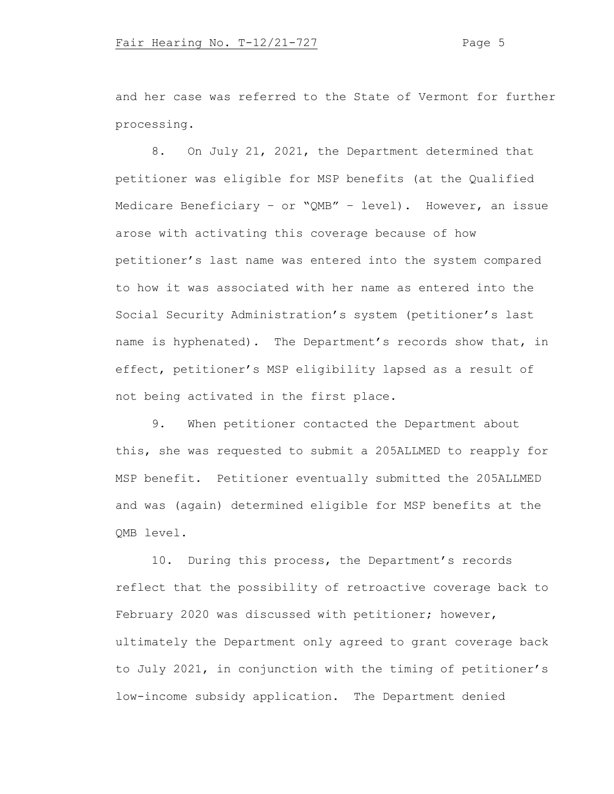and her case was referred to the State of Vermont for further processing.

8. On July 21, 2021, the Department determined that petitioner was eligible for MSP benefits (at the Qualified Medicare Beneficiary – or "QMB" – level). However, an issue arose with activating this coverage because of how petitioner's last name was entered into the system compared to how it was associated with her name as entered into the Social Security Administration's system (petitioner's last name is hyphenated). The Department's records show that, in effect, petitioner's MSP eligibility lapsed as a result of not being activated in the first place.

9. When petitioner contacted the Department about this, she was requested to submit a 205ALLMED to reapply for MSP benefit. Petitioner eventually submitted the 205ALLMED and was (again) determined eligible for MSP benefits at the QMB level.

10. During this process, the Department's records reflect that the possibility of retroactive coverage back to February 2020 was discussed with petitioner; however, ultimately the Department only agreed to grant coverage back to July 2021, in conjunction with the timing of petitioner's low-income subsidy application. The Department denied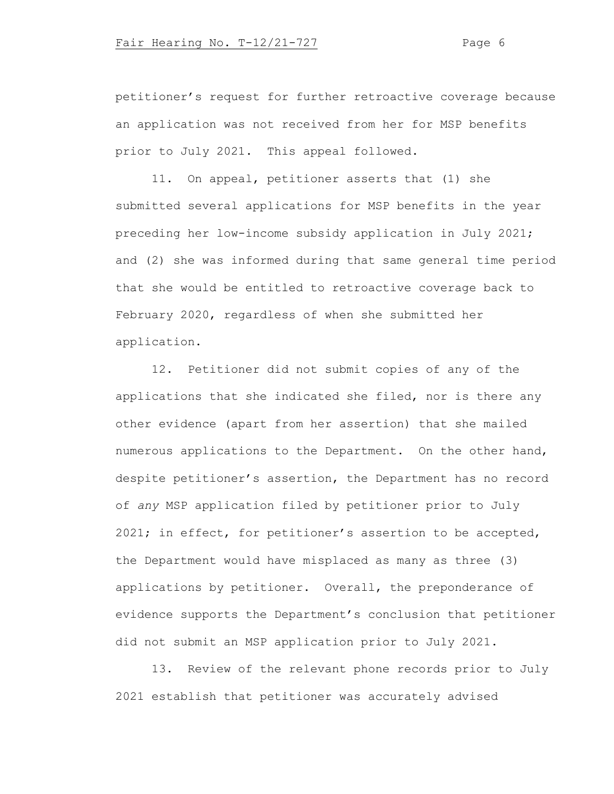petitioner's request for further retroactive coverage because an application was not received from her for MSP benefits prior to July 2021. This appeal followed.

11. On appeal, petitioner asserts that (1) she submitted several applications for MSP benefits in the year preceding her low-income subsidy application in July 2021; and (2) she was informed during that same general time period that she would be entitled to retroactive coverage back to February 2020, regardless of when she submitted her application.

12. Petitioner did not submit copies of any of the applications that she indicated she filed, nor is there any other evidence (apart from her assertion) that she mailed numerous applications to the Department. On the other hand, despite petitioner's assertion, the Department has no record of *any* MSP application filed by petitioner prior to July 2021; in effect, for petitioner's assertion to be accepted, the Department would have misplaced as many as three (3) applications by petitioner. Overall, the preponderance of evidence supports the Department's conclusion that petitioner did not submit an MSP application prior to July 2021.

13. Review of the relevant phone records prior to July 2021 establish that petitioner was accurately advised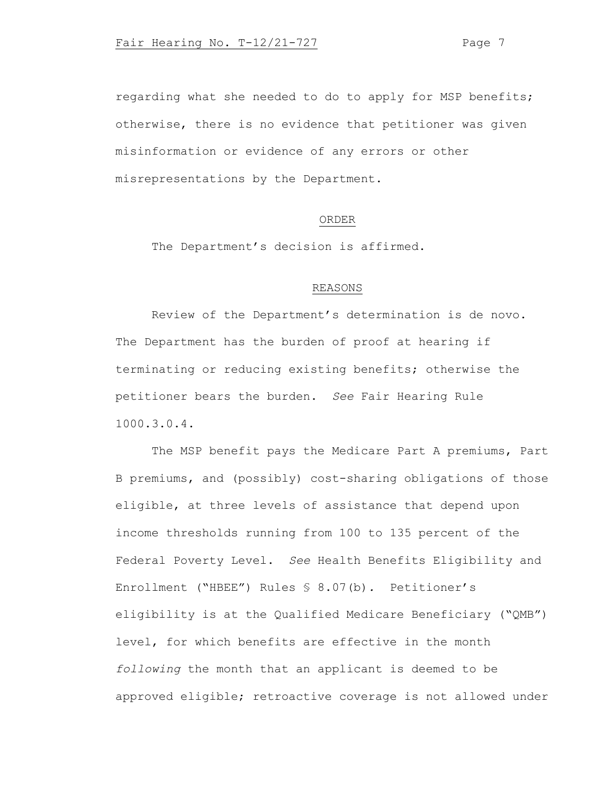regarding what she needed to do to apply for MSP benefits; otherwise, there is no evidence that petitioner was given misinformation or evidence of any errors or other misrepresentations by the Department.

### ORDER

The Department's decision is affirmed.

# REASONS

Review of the Department's determination is de novo. The Department has the burden of proof at hearing if terminating or reducing existing benefits; otherwise the petitioner bears the burden. *See* Fair Hearing Rule 1000.3.0.4.

The MSP benefit pays the Medicare Part A premiums, Part B premiums, and (possibly) cost-sharing obligations of those eligible, at three levels of assistance that depend upon income thresholds running from 100 to 135 percent of the Federal Poverty Level. *See* Health Benefits Eligibility and Enrollment ("HBEE") Rules § 8.07(b)*.* Petitioner's eligibility is at the Qualified Medicare Beneficiary ("QMB") level, for which benefits are effective in the month *following* the month that an applicant is deemed to be approved eligible; retroactive coverage is not allowed under